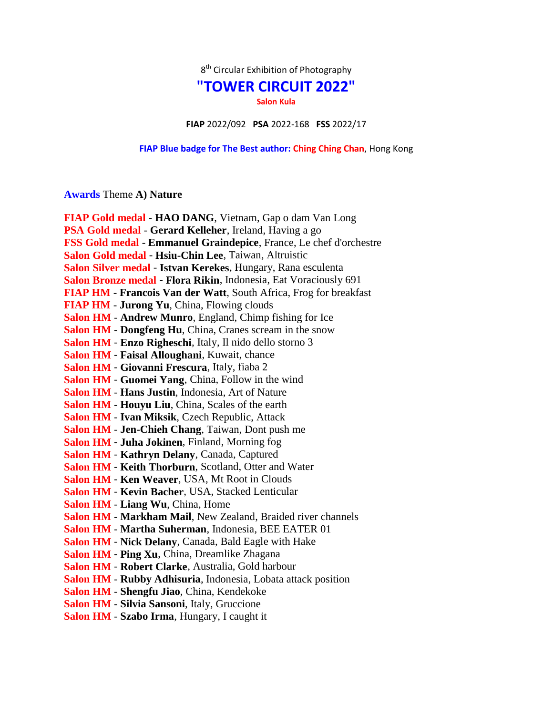$8<sup>th</sup>$  Circular Exhibition of Photography

## **"TOWER CIRCUIT 2022"**

**Salon Kula**

**FIAP** 2022/092 **PSA** 2022-168 **FSS** 2022/17

**FIAP Blue badge for The Best author: Ching Ching Chan**, Hong Kong

## **Awards** Theme **A) Nature**

| FIAP Gold medal - HAO DANG, Vietnam, Gap o dam Van Long            |
|--------------------------------------------------------------------|
| PSA Gold medal - Gerard Kelleher, Ireland, Having a go             |
| FSS Gold medal - Emmanuel Graindepice, France, Le chef d'orchestre |
| Salon Gold medal - Hsiu-Chin Lee, Taiwan, Altruistic               |
| Salon Silver medal - Istvan Kerekes, Hungary, Rana esculenta       |
| Salon Bronze medal - Flora Rikin, Indonesia, Eat Voraciously 691   |
| FIAP HM - Francois Van der Watt, South Africa, Frog for breakfast  |
| <b>FIAP HM - Jurong Yu, China, Flowing clouds</b>                  |
| <b>Salon HM - Andrew Munro, England, Chimp fishing for Ice</b>     |
| Salon HM - Dongfeng Hu, China, Cranes scream in the snow           |
| Salon HM - Enzo Righeschi, Italy, Il nido dello storno 3           |
| Salon HM - Faisal Alloughani, Kuwait, chance                       |
| Salon HM - Giovanni Frescura, Italy, fiaba 2                       |
| Salon HM - Guomei Yang, China, Follow in the wind                  |
| Salon HM - Hans Justin, Indonesia, Art of Nature                   |
| <b>Salon HM - Houyu Liu, China, Scales of the earth</b>            |
| Salon HM - Ivan Miksik, Czech Republic, Attack                     |
| <b>Salon HM - Jen-Chieh Chang, Taiwan, Dont push me</b>            |
| Salon HM - Juha Jokinen, Finland, Morning fog                      |
| Salon HM - Kathryn Delany, Canada, Captured                        |
| Salon HM - Keith Thorburn, Scotland, Otter and Water               |
| Salon HM - Ken Weaver, USA, Mt Root in Clouds                      |
| Salon HM - Kevin Bacher, USA, Stacked Lenticular                   |
| <b>Salon HM - Liang Wu, China, Home</b>                            |
| Salon HM - Markham Mail, New Zealand, Braided river channels       |
| Salon HM - Martha Suherman, Indonesia, BEE EATER 01                |
| Salon HM - Nick Delany, Canada, Bald Eagle with Hake               |
| Salon HM - Ping Xu, China, Dreamlike Zhagana                       |
| Salon HM - Robert Clarke, Australia, Gold harbour                  |
| Salon HM - Rubby Adhisuria, Indonesia, Lobata attack position      |
| Salon HM - Shengfu Jiao, China, Kendekoke                          |
| Salon HM - Silvia Sansoni, Italy, Gruccione                        |
| Salon HM - Szabo Irma, Hungary, I caught it                        |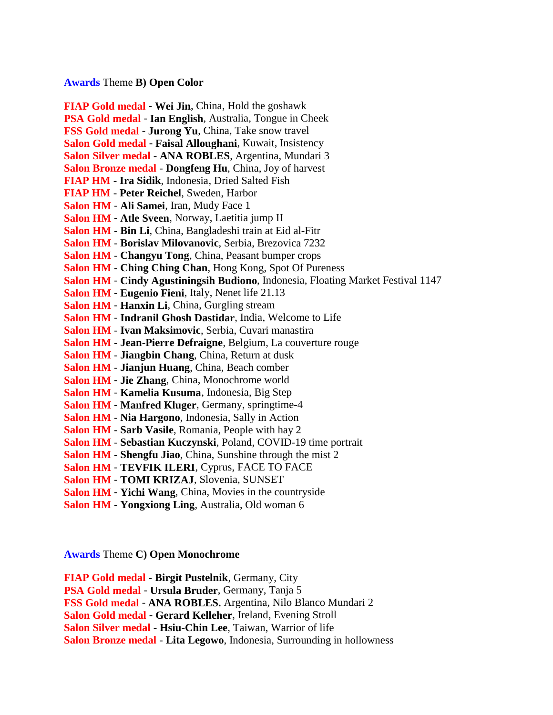## **Awards** Theme **B) Open Color**

**FIAP Gold medal** - **Wei Jin**, China, Hold the goshawk **PSA Gold medal** - **Ian English**, Australia, Tongue in Cheek **FSS Gold medal** - **Jurong Yu**, China, Take snow travel **Salon Gold medal** - **Faisal Alloughani**, Kuwait, Insistency **Salon Silver medal** - **ANA ROBLES**, Argentina, Mundari 3 **Salon Bronze medal** - **Dongfeng Hu**, China, Joy of harvest **FIAP HM** - **Ira Sidik**, Indonesia, Dried Salted Fish **FIAP HM** - **Peter Reichel**, Sweden, Harbor **Salon HM** - **Ali Samei**, Iran, Mudy Face 1 **Salon HM** - **Atle Sveen**, Norway, Laetitia jump II **Salon HM** - **Bin Li**, China, Bangladeshi train at Eid al-Fitr **Salon HM** - **Borislav Milovanovic**, Serbia, Brezovica 7232 **Salon HM** - **Changyu Tong**, China, Peasant bumper crops **Salon HM** - **Ching Ching Chan**, Hong Kong, Spot Of Pureness **Salon HM** - **Cindy Agustiningsih Budiono**, Indonesia, Floating Market Festival 1147 **Salon HM** - **Eugenio Fieni**, Italy, Nenet life 21.13 **Salon HM** - **Hanxin Li**, China, Gurgling stream **Salon HM** - **Indranil Ghosh Dastidar**, India, Welcome to Life **Salon HM** - **Ivan Maksimovic**, Serbia, Cuvari manastira **Salon HM** - **Jean-Pierre Defraigne**, Belgium, La couverture rouge **Salon HM** - **Jiangbin Chang**, China, Return at dusk **Salon HM** - **Jianjun Huang**, China, Beach comber **Salon HM** - **Jie Zhang**, China, Monochrome world **Salon HM** - **Kamelia Kusuma**, Indonesia, Big Step **Salon HM** - **Manfred Kluger**, Germany, springtime-4 **Salon HM** - **Nia Hargono**, Indonesia, Sally in Action **Salon HM** - **Sarb Vasile**, Romania, People with hay 2 **Salon HM** - **Sebastian Kuczynski**, Poland, COVID-19 time portrait **Salon HM** - **Shengfu Jiao**, China, Sunshine through the mist 2 **Salon HM** - **TEVFIK ILERI**, Cyprus, FACE TO FACE **Salon HM** - **TOMI KRIZAJ**, Slovenia, SUNSET **Salon HM** - **Yichi Wang**, China, Movies in the countryside

**Salon HM** - **Yongxiong Ling**, Australia, Old woman 6

**Awards** Theme **C) Open Monochrome**

**FIAP Gold medal** - **Birgit Pustelnik**, Germany, City **PSA Gold medal** - **Ursula Bruder**, Germany, Tanja 5 **FSS Gold medal** - **ANA ROBLES**, Argentina, Nilo Blanco Mundari 2 **Salon Gold medal** - **Gerard Kelleher**, Ireland, Evening Stroll **Salon Silver medal** - **Hsiu-Chin Lee**, Taiwan, Warrior of life **Salon Bronze medal** - **Lita Legowo**, Indonesia, Surrounding in hollowness